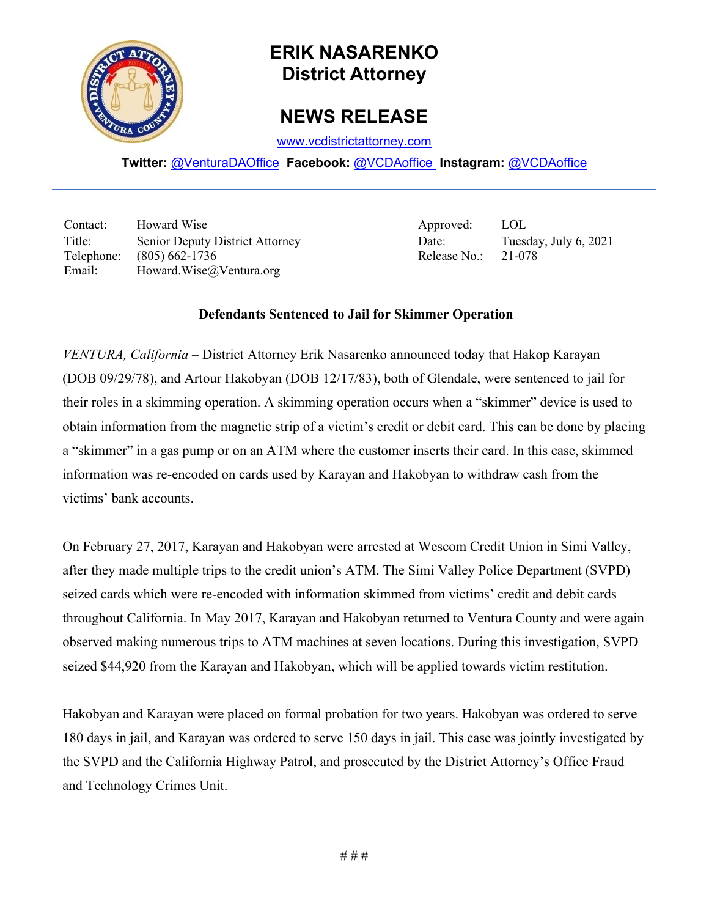

## **ERIK NASARENKO District Attorney**

## **NEWS RELEASE**

[www.vcdistrictattorney.com](http://www.vcdistrictattorney.com/)

**Twitter:** [@VenturaDAOffice](https://twitter.com/venturadaoffice) **Facebook:** [@VCDAoffice](https://facebook.com/VCDAoffice) **Instagram:** [@VCDAoffice](https://instagram.com/VCDAoffice)

Contact: Howard Wise Approved: LOL Title: Senior Deputy District Attorney Date: Tuesday, July 6, 2021 Telephone: (805) 662-1736 Release No.: 21-078 Email: Howard.Wise@Ventura.org

## **Defendants Sentenced to Jail for Skimmer Operation**

*VENTURA, California* – District Attorney Erik Nasarenko announced today that Hakop Karayan (DOB 09/29/78), and Artour Hakobyan (DOB 12/17/83), both of Glendale, were sentenced to jail for their roles in a skimming operation. A skimming operation occurs when a "skimmer" device is used to obtain information from the magnetic strip of a victim's credit or debit card. This can be done by placing a "skimmer" in a gas pump or on an ATM where the customer inserts their card. In this case, skimmed information was re-encoded on cards used by Karayan and Hakobyan to withdraw cash from the victims' bank accounts.

On February 27, 2017, Karayan and Hakobyan were arrested at Wescom Credit Union in Simi Valley, after they made multiple trips to the credit union's ATM. The Simi Valley Police Department (SVPD) seized cards which were re-encoded with information skimmed from victims' credit and debit cards throughout California. In May 2017, Karayan and Hakobyan returned to Ventura County and were again observed making numerous trips to ATM machines at seven locations. During this investigation, SVPD seized \$44,920 from the Karayan and Hakobyan, which will be applied towards victim restitution.

Hakobyan and Karayan were placed on formal probation for two years. Hakobyan was ordered to serve 180 days in jail, and Karayan was ordered to serve 150 days in jail. This case was jointly investigated by the SVPD and the California Highway Patrol, and prosecuted by the District Attorney's Office Fraud and Technology Crimes Unit.